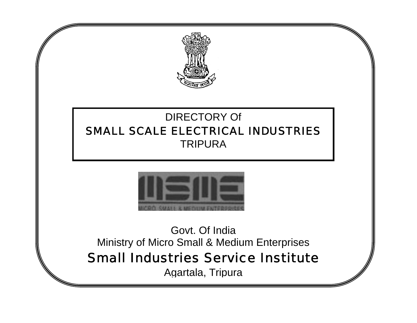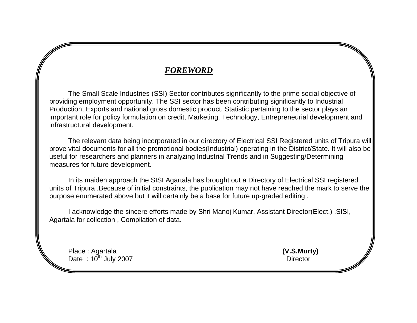## *FOREWORD*

 The Small Scale Industries (SSI) Sector contributes significantly to the prime social objective of providing employment opportunity. The SSI sector has been contributing significantly to Industrial Production, Exports and national gross domestic product. Statistic pertaining to the sector plays an important role for policy formulation on credit, Marketing, Technology, Entrepreneurial development and infrastructural development.

 The relevant data being incorporated in our directory of Electrical SSI Registered units of Tripura will prove vital documents for all the promotional bodies(Industrial) operating in the District/State. It will also be useful for researchers and planners in analyzing Industrial Trends and in Suggesting/Determining measures for future development.

 In its maiden approach the SISI Agartala has brought out a Directory of Electrical SSI registered units of Tripura .Because of initial constraints, the publication may not have reached the mark to serve the purpose enumerated above but it will certainly be a base for future up-graded editing .

 I acknowledge the sincere efforts made by Shri Manoj Kumar, Assistant Director(Elect.) ,SISI, Agartala for collection , Compilation of data.

 Place : Agartala **(V.S.Murty)** Date :  $10^{th}$  July 2007 Director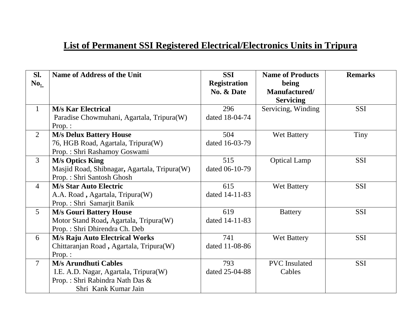## **List of Permanent SSI Registered Electrical/Electronics Units in Tripura**

| Sl.<br>No.     | <b>Name of Address of the Unit</b>                                 | <b>SSI</b><br><b>Registration</b><br>No. & Date | <b>Name of Products</b><br>being<br>Manufactured/<br><b>Servicing</b> | <b>Remarks</b> |
|----------------|--------------------------------------------------------------------|-------------------------------------------------|-----------------------------------------------------------------------|----------------|
| $\mathbf{1}$   | <b>M/s Kar Electrical</b>                                          | 296                                             | Servicing, Winding                                                    | <b>SSI</b>     |
|                | Paradise Chowmuhani, Agartala, Tripura(W)<br>Prop.:                | dated 18-04-74                                  |                                                                       |                |
| $\overline{2}$ | <b>M/s Delux Battery House</b>                                     | 504                                             | Wet Battery                                                           | Tiny           |
|                | 76, HGB Road, Agartala, Tripura(W)<br>Prop.: Shri Rashamoy Goswami | dated 16-03-79                                  |                                                                       |                |
| $\overline{3}$ | <b>M/s Optics King</b>                                             | 515                                             | <b>Optical Lamp</b>                                                   | <b>SSI</b>     |
|                | Masjid Road, Shibnagar, Agartala, Tripura(W)                       | dated 06-10-79                                  |                                                                       |                |
|                | Prop.: Shri Santosh Ghosh                                          |                                                 |                                                                       |                |
| $\overline{4}$ | <b>M/s Star Auto Electric</b>                                      | 615                                             | Wet Battery                                                           | <b>SSI</b>     |
|                | A.A. Road, Agartala, Tripura(W)<br>Prop.: Shri Samarjit Banik      | dated 14-11-83                                  |                                                                       |                |
| 5 <sup>5</sup> | <b>M/s Gouri Battery House</b>                                     | 619                                             | <b>Battery</b>                                                        | <b>SSI</b>     |
|                | Motor Stand Road, Agartala, Tripura(W)                             | dated 14-11-83                                  |                                                                       |                |
|                | Prop.: Shri Dhirendra Ch. Deb                                      |                                                 |                                                                       |                |
| 6              | <b>M/s Raju Auto Electrical Works</b>                              | 741                                             | Wet Battery                                                           | <b>SSI</b>     |
|                | Chittaranjan Road, Agartala, Tripura(W)                            | dated 11-08-86                                  |                                                                       |                |
|                | $Prop.$ :                                                          |                                                 |                                                                       |                |
| $\tau$         | <b>M/s Arundhuti Cables</b>                                        | 793                                             | <b>PVC</b> Insulated                                                  | <b>SSI</b>     |
|                | I.E. A.D. Nagar, Agartala, Tripura(W)                              | dated 25-04-88                                  | Cables                                                                |                |
|                | Prop.: Shri Rabindra Nath Das &                                    |                                                 |                                                                       |                |
|                | Shri Kank Kumar Jain                                               |                                                 |                                                                       |                |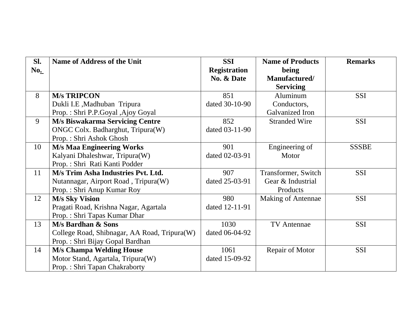| Sl. | <b>Name of Address of the Unit</b>           | <b>SSI</b>          | <b>Name of Products</b> | <b>Remarks</b> |
|-----|----------------------------------------------|---------------------|-------------------------|----------------|
| No. |                                              | <b>Registration</b> | being                   |                |
|     |                                              | No. & Date          | Manufactured/           |                |
|     |                                              |                     | <b>Servicing</b>        |                |
| 8   | <b>M/s TRIPCON</b>                           | 851                 | Aluminum                | <b>SSI</b>     |
|     | Dukli I.E, Madhuban Tripura                  | dated 30-10-90      | Conductors,             |                |
|     | Prop.: Shri P.P.Goyal ,Ajoy Goyal            |                     | Galvanized Iron         |                |
| 9   | <b>M/s Biswakarma Servicing Centre</b>       | 852                 | <b>Stranded Wire</b>    | SSI            |
|     | ONGC Colx. Badharghut, Tripura(W)            | dated 03-11-90      |                         |                |
|     | Prop.: Shri Ashok Ghosh                      |                     |                         |                |
| 10  | <b>M/s Maa Engineering Works</b>             | 901                 | Engineering of          | <b>SSSBE</b>   |
|     | Kalyani Dhaleshwar, Tripura(W)               | dated 02-03-91      | Motor                   |                |
|     | Prop.: Shri Rati Kanti Podder                |                     |                         |                |
| 11  | M/s Trim Asha Industries Pvt. Ltd.           | 907                 | Transformer, Switch     | <b>SSI</b>     |
|     | Nutannagar, Airport Road, Tripura(W)         | dated 25-03-91      | Gear & Industrial       |                |
|     | Prop.: Shri Anup Kumar Roy                   |                     | Products                |                |
| 12  | <b>M/s Sky Vision</b>                        | 980                 | Making of Antennae      | <b>SSI</b>     |
|     | Pragati Road, Krishna Nagar, Agartala        | dated 12-11-91      |                         |                |
|     | Prop.: Shri Tapas Kumar Dhar                 |                     |                         |                |
| 13  | <b>M/s Bardhan &amp; Sons</b>                | 1030                | <b>TV</b> Antennae      | <b>SSI</b>     |
|     | College Road, Shibnagar, AA Road, Tripura(W) | dated 06-04-92      |                         |                |
|     | Prop.: Shri Bijay Gopal Bardhan              |                     |                         |                |
| 14  | <b>M/s Champa Welding House</b>              | 1061                | Repair of Motor         | <b>SSI</b>     |
|     | Motor Stand, Agartala, Tripura(W)            | dated 15-09-92      |                         |                |
|     | Prop.: Shri Tapan Chakraborty                |                     |                         |                |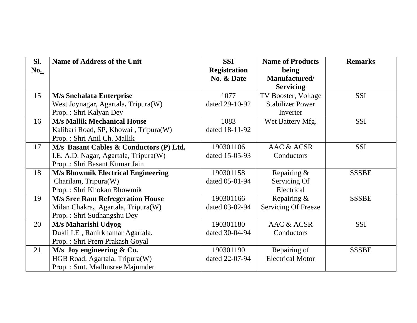| Sl. | <b>Name of Address of the Unit</b>        | <b>SSI</b>          | <b>Name of Products</b>    | <b>Remarks</b> |
|-----|-------------------------------------------|---------------------|----------------------------|----------------|
| No. |                                           | <b>Registration</b> | being                      |                |
|     |                                           | No. & Date          | Manufactured/              |                |
|     |                                           |                     | <b>Servicing</b>           |                |
| 15  | <b>M/s Snehalata Enterprise</b>           | 1077                | TV Booster, Voltage        | <b>SSI</b>     |
|     | West Joynagar, Agartala, Tripura(W)       | dated 29-10-92      | <b>Stabilizer Power</b>    |                |
|     | Prop.: Shri Kalyan Dey                    |                     | Inverter                   |                |
| 16  | <b>M/s Mallik Mechanical House</b>        | 1083                | Wet Battery Mfg.           | <b>SSI</b>     |
|     | Kalibari Road, SP, Khowai, Tripura(W)     | dated 18-11-92      |                            |                |
|     | Prop.: Shri Anil Ch. Mallik               |                     |                            |                |
| 17  | M/s Basant Cables & Conductors (P) Ltd,   | 190301106           | AAC & ACSR                 | <b>SSI</b>     |
|     | I.E. A.D. Nagar, Agartala, Tripura(W)     | dated 15-05-93      | Conductors                 |                |
|     | Prop.: Shri Basant Kumar Jain             |                     |                            |                |
| 18  | <b>M/s Bhowmik Electrical Engineering</b> | 190301158           | Repairing &                | <b>SSSBE</b>   |
|     | Charilam, Tripura(W)                      | dated 05-01-94      | Servicing Of               |                |
|     | Prop.: Shri Khokan Bhowmik                |                     | Electrical                 |                |
| 19  | <b>M/s Sree Ram Refregeration House</b>   | 190301166           | Repairing &                | <b>SSSBE</b>   |
|     | Milan Chakra, Agartala, Tripura(W)        | dated 03-02-94      | <b>Servicing Of Freeze</b> |                |
|     | Prop.: Shri Sudhangshu Dey                |                     |                            |                |
| 20  | M/s Maharishi Udyog                       | 190301180           | AAC & ACSR                 | <b>SSI</b>     |
|     | Dukli I.E, Ranirkhamar Agartala.          | dated 30-04-94      | Conductors                 |                |
|     | Prop.: Shri Prem Prakash Goyal            |                     |                            |                |
| 21  | $M/s$ Joy engineering $& Co.$             | 190301190           | Repairing of               | <b>SSSBE</b>   |
|     | HGB Road, Agartala, Tripura(W)            | dated 22-07-94      | <b>Electrical Motor</b>    |                |
|     | Prop.: Smt. Madhusree Majumder            |                     |                            |                |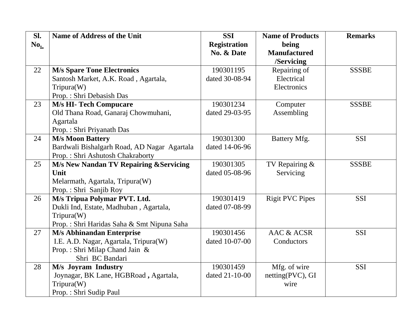| SI. | <b>Name of Address of the Unit</b>          | <b>SSI</b>          | <b>Name of Products</b> | <b>Remarks</b> |
|-----|---------------------------------------------|---------------------|-------------------------|----------------|
| No. |                                             | <b>Registration</b> | being                   |                |
|     |                                             | No. & Date          | <b>Manufactured</b>     |                |
|     |                                             |                     | /Servicing              |                |
| 22  | <b>M/s Spare Tone Electronics</b>           | 190301195           | Repairing of            | <b>SSSBE</b>   |
|     | Santosh Market, A.K. Road, Agartala,        | dated 30-08-94      | Electrical              |                |
|     | Tripura(W)                                  |                     | Electronics             |                |
|     | Prop.: Shri Debasish Das                    |                     |                         |                |
| 23  | <b>M/s HI- Tech Compucare</b>               | 190301234           | Computer                | <b>SSSBE</b>   |
|     | Old Thana Road, Ganaraj Chowmuhani,         | dated 29-03-95      | Assembling              |                |
|     | Agartala                                    |                     |                         |                |
|     | Prop.: Shri Priyanath Das                   |                     |                         |                |
| 24  | <b>M/s Moon Battery</b>                     | 190301300           | Battery Mfg.            | <b>SSI</b>     |
|     | Bardwali Bishalgarh Road, AD Nagar Agartala | dated 14-06-96      |                         |                |
|     | Prop.: Shri Ashutosh Chakraborty            |                     |                         |                |
| 25  | M/s New Nandan TV Repairing & Servicing     | 190301305           | TV Repairing &          | <b>SSSBE</b>   |
|     | Unit                                        | dated 05-08-96      | Servicing               |                |
|     | Melarmath, Agartala, Tripura(W)             |                     |                         |                |
|     | Prop.: Shri Sanjib Roy                      |                     |                         |                |
| 26  | M/s Tripua Polymar PVT. Ltd.                | 190301419           | <b>Rigit PVC Pipes</b>  | <b>SSI</b>     |
|     | Dukli Ind, Estate, Madhuban, Agartala,      | dated 07-08-99      |                         |                |
|     | Tripura(W)                                  |                     |                         |                |
|     | Prop.: Shri Haridas Saha & Smt Nipuna Saha  |                     |                         |                |
| 27  | <b>M/s Abhinandan Enterprise</b>            | 190301456           | <b>AAC &amp; ACSR</b>   | <b>SSI</b>     |
|     | I.E. A.D. Nagar, Agartala, Tripura(W)       | dated 10-07-00      | Conductors              |                |
|     | Prop.: Shri Milap Chand Jain &              |                     |                         |                |
|     | Shri BC Bandari                             |                     |                         |                |
| 28  | M/s Joyram Industry                         | 190301459           | Mfg. of wire            | <b>SSI</b>     |
|     | Joynagar, BK Lane, HGBRoad, Agartala,       | dated 21-10-00      | netting(PVC), GI        |                |
|     | Tripura(W)                                  |                     | wire                    |                |
|     | Prop.: Shri Sudip Paul                      |                     |                         |                |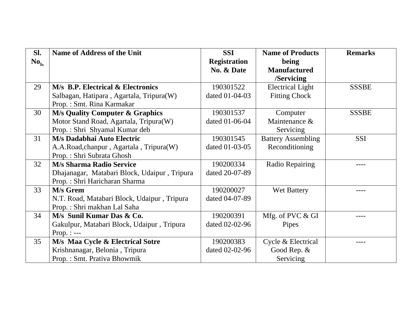| Sl. | <b>Name of Address of the Unit</b>           | <b>SSI</b>          | <b>Name of Products</b>   | <b>Remarks</b> |
|-----|----------------------------------------------|---------------------|---------------------------|----------------|
| No. |                                              | <b>Registration</b> | being                     |                |
|     |                                              | No. & Date          | <b>Manufactured</b>       |                |
|     |                                              |                     | /Servicing                |                |
| 29  | <b>M/s B.P. Electrical &amp; Electronics</b> | 190301522           | <b>Electrical Light</b>   | <b>SSSBE</b>   |
|     | Salbagan, Hatipara, Agartala, Tripura(W)     | dated 01-04-03      | <b>Fitting Chock</b>      |                |
|     | Prop.: Smt. Rina Karmakar                    |                     |                           |                |
| 30  | <b>M/s Quality Computer &amp; Graphics</b>   | 190301537           | Computer                  | <b>SSSBE</b>   |
|     | Motor Stand Road, Agartala, Tripura(W)       | dated 01-06-04      | Maintenance &             |                |
|     | Prop.: Shri Shyamal Kumar deb                |                     | Servicing                 |                |
| 31  | M/s Dadabhai Auto Electric                   | 190301545           | <b>Battery Assembling</b> | <b>SSI</b>     |
|     | A.A.Road, chanpur, Agartala, Tripura(W)      | dated 01-03-05      | Reconditioning            |                |
|     | Prop.: Shri Subrata Ghosh                    |                     |                           |                |
| 32  | <b>M/s Sharma Radio Service</b>              | 190200334           | Radio Repairing           |                |
|     | Dhajanagar, Matabari Block, Udaipur, Tripura | dated 20-07-89      |                           |                |
|     | Prop.: Shri Haricharan Sharma                |                     |                           |                |
| 33  | M/s Grem                                     | 190200027           | Wet Battery               |                |
|     | N.T. Road, Matabari Block, Udaipur, Tripura  | dated 04-07-89      |                           |                |
|     | Prop.: Shri makhan Lal Saha                  |                     |                           |                |
| 34  | M/s Sunil Kumar Das & Co.                    | 190200391           | Mfg. of PVC & GI          |                |
|     | Gakulpur, Matabari Block, Udaipur, Tripura   | dated 02-02-96      | Pipes                     |                |
|     | Prop. : $---$                                |                     |                           |                |
| 35  | M/s Maa Cycle & Electrical Sotre             | 190200383           | Cycle & Electrical        |                |
|     | Krishnanagar, Belonia, Tripura               | dated 02-02-96      | Good Rep. &               |                |
|     | Prop.: Smt. Prativa Bhowmik                  |                     | Servicing                 |                |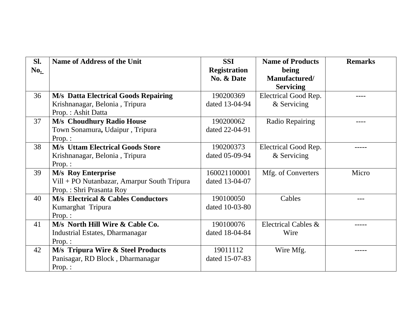| Sl. | <b>Name of Address of the Unit</b>            | <b>SSI</b>          | <b>Name of Products</b> | <b>Remarks</b> |
|-----|-----------------------------------------------|---------------------|-------------------------|----------------|
| No. |                                               | <b>Registration</b> | being                   |                |
|     |                                               | No. & Date          | Manufactured/           |                |
|     |                                               |                     | <b>Servicing</b>        |                |
| 36  | <b>M/s Datta Electrical Goods Repairing</b>   | 190200369           | Electrical Good Rep.    |                |
|     | Krishnanagar, Belonia, Tripura                | dated 13-04-94      | & Servicing             |                |
|     | Prop.: Ashit Datta                            |                     |                         |                |
| 37  | <b>M/s Choudhury Radio House</b>              | 190200062           | Radio Repairing         |                |
|     | Town Sonamura, Udaipur, Tripura               | dated 22-04-91      |                         |                |
|     | $Prop.$ :                                     |                     |                         |                |
| 38  | <b>M/s Uttam Electrical Goods Store</b>       | 190200373           | Electrical Good Rep.    |                |
|     | Krishnanagar, Belonia, Tripura                | dated 05-09-94      | & Servicing             |                |
|     | $Prop.$ :                                     |                     |                         |                |
| 39  | <b>M/s</b> Roy Enterprise                     | 160021100001        | Mfg. of Converters      | Micro          |
|     | Vill + PO Nutanbazar, Amarpur South Tripura   | dated 13-04-07      |                         |                |
|     | Prop.: Shri Prasanta Roy                      |                     |                         |                |
| 40  | <b>M/s Electrical &amp; Cables Conductors</b> | 190100050           | Cables                  |                |
|     | Kumarghat Tripura                             | dated 10-03-80      |                         |                |
|     | Prop.:                                        |                     |                         |                |
| 41  | M/s North Hill Wire & Cable Co.               | 190100076           | Electrical Cables &     |                |
|     | Industrial Estates, Dharmanagar               | dated 18-04-84      | Wire                    |                |
|     | Prop.:                                        |                     |                         |                |
| 42  | <b>M/s Tripura Wire &amp; Steel Products</b>  | 19011112            | Wire Mfg.               |                |
|     | Panisagar, RD Block, Dharmanagar              | dated 15-07-83      |                         |                |
|     | Prop.:                                        |                     |                         |                |